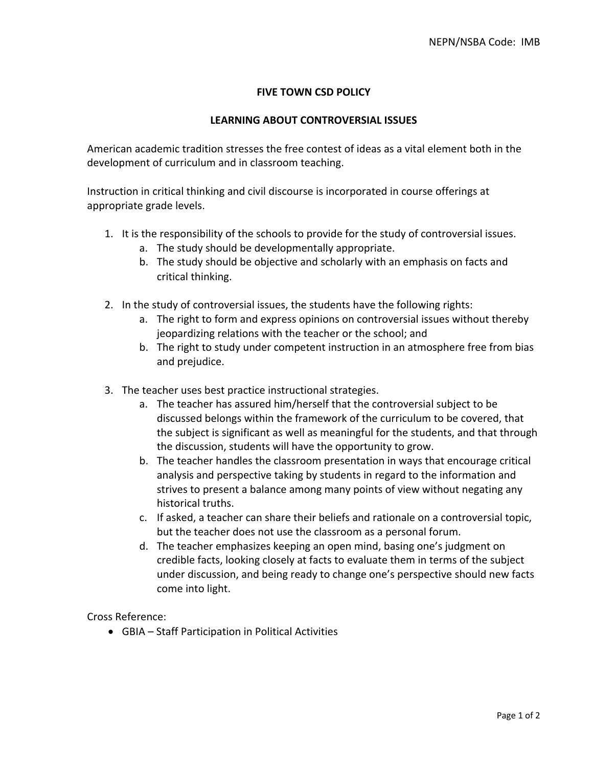## **FIVE TOWN CSD POLICY**

## **LEARNING ABOUT CONTROVERSIAL ISSUES**

American academic tradition stresses the free contest of ideas as a vital element both in the development of curriculum and in classroom teaching.

Instruction in critical thinking and civil discourse is incorporated in course offerings at appropriate grade levels.

- 1. It is the responsibility of the schools to provide for the study of controversial issues.
	- a. The study should be developmentally appropriate.
	- b. The study should be objective and scholarly with an emphasis on facts and critical thinking.
- 2. In the study of controversial issues, the students have the following rights:
	- a. The right to form and express opinions on controversial issues without thereby jeopardizing relations with the teacher or the school; and
	- b. The right to study under competent instruction in an atmosphere free from bias and prejudice.
- 3. The teacher uses best practice instructional strategies.
	- a. The teacher has assured him/herself that the controversial subject to be discussed belongs within the framework of the curriculum to be covered, that the subject is significant as well as meaningful for the students, and that through the discussion, students will have the opportunity to grow.
	- b. The teacher handles the classroom presentation in ways that encourage critical analysis and perspective taking by students in regard to the information and strives to present a balance among many points of view without negating any historical truths.
	- c. If asked, a teacher can share their beliefs and rationale on a controversial topic, but the teacher does not use the classroom as a personal forum.
	- d. The teacher emphasizes keeping an open mind, basing one's judgment on credible facts, looking closely at facts to evaluate them in terms of the subject under discussion, and being ready to change one's perspective should new facts come into light.

Cross Reference:

• GBIA – Staff Participation in Political Activities